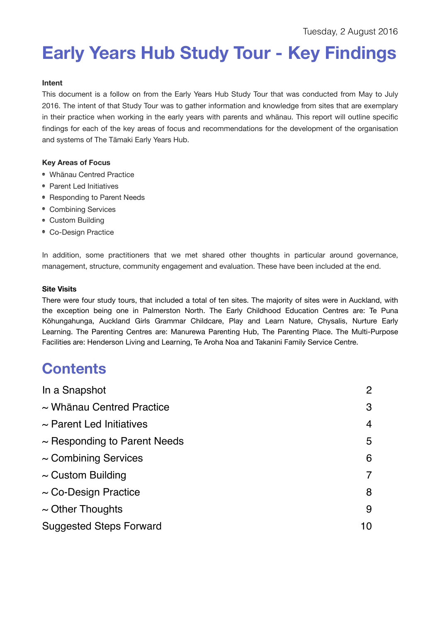# **Early Years Hub Study Tour - Key Findings**

# **Intent**

This document is a follow on from the Early Years Hub Study Tour that was conducted from May to July 2016. The intent of that Study Tour was to gather information and knowledge from sites that are exemplary in their practice when working in the early years with parents and whānau. This report will outline specific findings for each of the key areas of focus and recommendations for the development of the organisation and systems of The Tāmaki Early Years Hub.

# **Key Areas of Focus**

- Whānau Centred Practice
- Parent Led Initiatives
- Responding to Parent Needs
- Combining Services
- Custom Building
- Co-Design Practice

In addition, some practitioners that we met shared other thoughts in particular around governance, management, structure, community engagement and evaluation. These have been included at the end.

### **Site Visits**

There were four study tours, that included a total of ten sites. The majority of sites were in Auckland, with the exception being one in Palmerston North. The Early Childhood Education Centres are: Te Puna Kōhungahunga, Auckland Girls Grammar Childcare, Play and Learn Nature, Chysalis, Nurture Early Learning. The Parenting Centres are: Manurewa Parenting Hub, The Parenting Place. The Multi-Purpose Facilities are: Henderson Living and Learning, Te Aroha Noa and Takanini Family Service Centre.

# **Contents**

| In a Snapshot                     | 2  |
|-----------------------------------|----|
| $\sim$ Whānau Centred Practice    | 3  |
| $\sim$ Parent Led Initiatives     | 4  |
| $\sim$ Responding to Parent Needs | 5  |
| $\sim$ Combining Services         | 6  |
| $\sim$ Custom Building            |    |
| $\sim$ Co-Design Practice         | 8  |
| $\sim$ Other Thoughts             | 9  |
| <b>Suggested Steps Forward</b>    | 10 |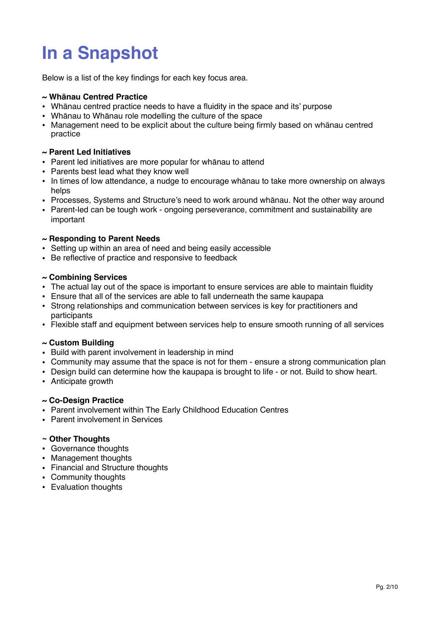# **In a Snapshot**

Below is a list of the key findings for each key focus area.

# **~ Whānau Centred Practice**

- Whānau centred practice needs to have a fluidity in the space and its' purpose
- Whānau to Whānau role modelling the culture of the space
- Management need to be explicit about the culture being firmly based on whānau centred practice

# **~ Parent Led Initiatives**

- Parent led initiatives are more popular for whānau to attend
- Parents best lead what they know well
- In times of low attendance, a nudge to encourage whānau to take more ownership on always helps
- Processes, Systems and Structure's need to work around whānau. Not the other way around
- Parent-led can be tough work ongoing perseverance, commitment and sustainability are important

# **~ Responding to Parent Needs**

- Setting up within an area of need and being easily accessible
- Be reflective of practice and responsive to feedback

# **~ Combining Services**

- The actual lay out of the space is important to ensure services are able to maintain fluidity
- Ensure that all of the services are able to fall underneath the same kaupapa
- Strong relationships and communication between services is key for practitioners and participants
- Flexible staff and equipment between services help to ensure smooth running of all services

# **~ Custom Building**

- Build with parent involvement in leadership in mind
- Community may assume that the space is not for them ensure a strong communication plan
- Design build can determine how the kaupapa is brought to life or not. Build to show heart.
- Anticipate growth

### **~ Co-Design Practice**

- Parent involvement within The Early Childhood Education Centres
- Parent involvement in Services

# **~ Other Thoughts**

- Governance thoughts
- Management thoughts
- Financial and Structure thoughts
- Community thoughts
- Evaluation thoughts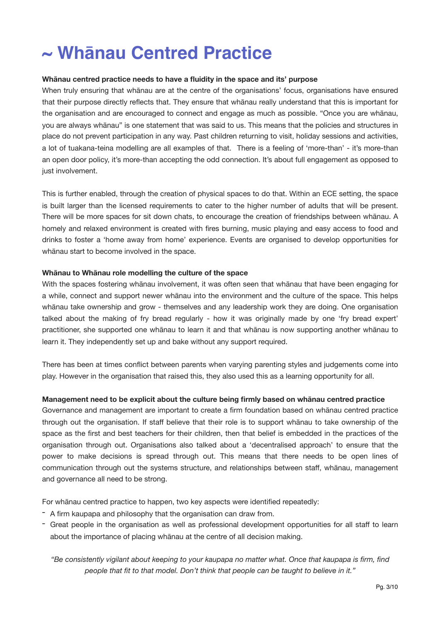# **~ Whānau Centred Practice**

### **Whānau centred practice needs to have a fluidity in the space and its' purpose**

When truly ensuring that whānau are at the centre of the organisations' focus, organisations have ensured that their purpose directly reflects that. They ensure that whānau really understand that this is important for the organisation and are encouraged to connect and engage as much as possible. "Once you are whānau, you are always whānau" is one statement that was said to us. This means that the policies and structures in place do not prevent participation in any way. Past children returning to visit, holiday sessions and activities, a lot of tuakana-teina modelling are all examples of that. There is a feeling of 'more-than' - it's more-than an open door policy, it's more-than accepting the odd connection. It's about full engagement as opposed to just involvement.

This is further enabled, through the creation of physical spaces to do that. Within an ECE setting, the space is built larger than the licensed requirements to cater to the higher number of adults that will be present. There will be more spaces for sit down chats, to encourage the creation of friendships between whānau. A homely and relaxed environment is created with fires burning, music playing and easy access to food and drinks to foster a 'home away from home' experience. Events are organised to develop opportunities for whānau start to become involved in the space.

#### **Whānau to Whānau role modelling the culture of the space**

With the spaces fostering whānau involvement, it was often seen that whānau that have been engaging for a while, connect and support newer whānau into the environment and the culture of the space. This helps whānau take ownership and grow - themselves and any leadership work they are doing. One organisation talked about the making of fry bread regularly - how it was originally made by one 'fry bread expert' practitioner, she supported one whānau to learn it and that whānau is now supporting another whānau to learn it. They independently set up and bake without any support required.

There has been at times conflict between parents when varying parenting styles and judgements come into play. However in the organisation that raised this, they also used this as a learning opportunity for all.

### **Management need to be explicit about the culture being firmly based on whānau centred practice**

Governance and management are important to create a firm foundation based on whānau centred practice through out the organisation. If staff believe that their role is to support whānau to take ownership of the space as the first and best teachers for their children, then that belief is embedded in the practices of the organisation through out. Organisations also talked about a 'decentralised approach' to ensure that the power to make decisions is spread through out. This means that there needs to be open lines of communication through out the systems structure, and relationships between staff, whānau, management and governance all need to be strong.

For whānau centred practice to happen, two key aspects were identified repeatedly:

- A firm kaupapa and philosophy that the organisation can draw from.
- Great people in the organisation as well as professional development opportunities for all staff to learn about the importance of placing whānau at the centre of all decision making.

*"Be consistently vigilant about keeping to your kaupapa no matter what. Once that kaupapa is firm, find people that fit to that model. Don't think that people can be taught to believe in it."*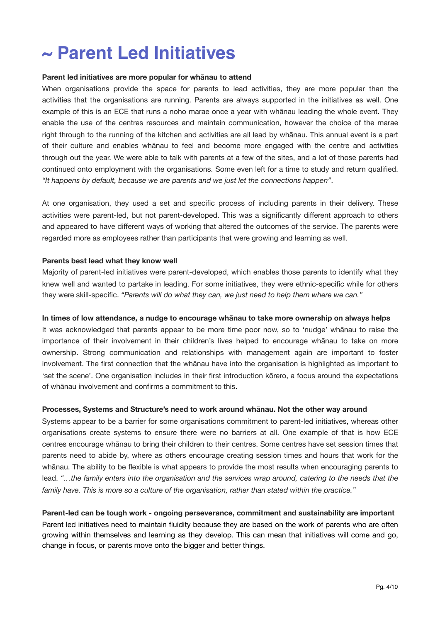# **~ Parent Led Initiatives**

### **Parent led initiatives are more popular for whānau to attend**

When organisations provide the space for parents to lead activities, they are more popular than the activities that the organisations are running. Parents are always supported in the initiatives as well. One example of this is an ECE that runs a noho marae once a year with whānau leading the whole event. They enable the use of the centres resources and maintain communication, however the choice of the marae right through to the running of the kitchen and activities are all lead by whānau. This annual event is a part of their culture and enables whānau to feel and become more engaged with the centre and activities through out the year. We were able to talk with parents at a few of the sites, and a lot of those parents had continued onto employment with the organisations. Some even left for a time to study and return qualified. *"It happens by default, because we are parents and we just let the connections happen"*.

At one organisation, they used a set and specific process of including parents in their delivery. These activities were parent-led, but not parent-developed. This was a significantly different approach to others and appeared to have different ways of working that altered the outcomes of the service. The parents were regarded more as employees rather than participants that were growing and learning as well.

#### **Parents best lead what they know well**

Majority of parent-led initiatives were parent-developed, which enables those parents to identify what they knew well and wanted to partake in leading. For some initiatives, they were ethnic-specific while for others they were skill-specific. *"Parents will do what they can, we just need to help them where we can."*

#### **In times of low attendance, a nudge to encourage whānau to take more ownership on always helps**

It was acknowledged that parents appear to be more time poor now, so to 'nudge' whānau to raise the importance of their involvement in their children's lives helped to encourage whānau to take on more ownership. Strong communication and relationships with management again are important to foster involvement. The first connection that the whānau have into the organisation is highlighted as important to 'set the scene'. One organisation includes in their first introduction kōrero, a focus around the expectations of whānau involvement and confirms a commitment to this.

#### **Processes, Systems and Structure's need to work around whānau. Not the other way around**

Systems appear to be a barrier for some organisations commitment to parent-led initiatives, whereas other organisations create systems to ensure there were no barriers at all. One example of that is how ECE centres encourage whānau to bring their children to their centres. Some centres have set session times that parents need to abide by, where as others encourage creating session times and hours that work for the whānau. The ability to be flexible is what appears to provide the most results when encouraging parents to lead. "...the family enters into the organisation and the services wrap around, catering to the needs that the *family have. This is more so a culture of the organisation, rather than stated within the practice."*

**Parent-led can be tough work - ongoing perseverance, commitment and sustainability are important**  Parent led initiatives need to maintain fluidity because they are based on the work of parents who are often growing within themselves and learning as they develop. This can mean that initiatives will come and go, change in focus, or parents move onto the bigger and better things.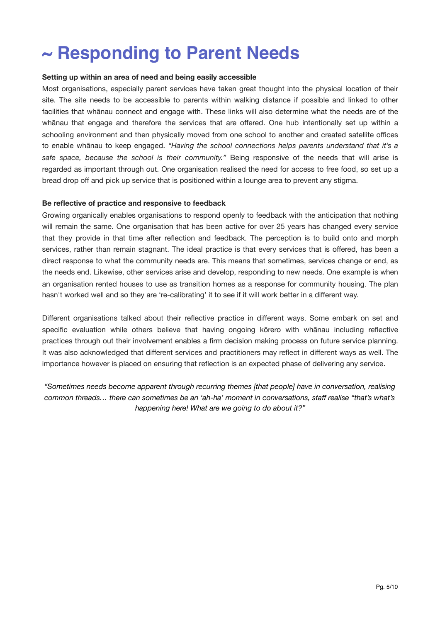# **~ Responding to Parent Needs**

## **Setting up within an area of need and being easily accessible**

Most organisations, especially parent services have taken great thought into the physical location of their site. The site needs to be accessible to parents within walking distance if possible and linked to other facilities that whānau connect and engage with. These links will also determine what the needs are of the whānau that engage and therefore the services that are offered. One hub intentionally set up within a schooling environment and then physically moved from one school to another and created satellite offices to enable whānau to keep engaged. *"Having the school connections helps parents understand that it's a safe space, because the school is their community."* Being responsive of the needs that will arise is regarded as important through out. One organisation realised the need for access to free food, so set up a bread drop off and pick up service that is positioned within a lounge area to prevent any stigma.

#### **Be reflective of practice and responsive to feedback**

Growing organically enables organisations to respond openly to feedback with the anticipation that nothing will remain the same. One organisation that has been active for over 25 years has changed every service that they provide in that time after reflection and feedback. The perception is to build onto and morph services, rather than remain stagnant. The ideal practice is that every services that is offered, has been a direct response to what the community needs are. This means that sometimes, services change or end, as the needs end. Likewise, other services arise and develop, responding to new needs. One example is when an organisation rented houses to use as transition homes as a response for community housing. The plan hasn't worked well and so they are 're-calibrating' it to see if it will work better in a different way.

Different organisations talked about their reflective practice in different ways. Some embark on set and specific evaluation while others believe that having ongoing kōrero with whānau including reflective practices through out their involvement enables a firm decision making process on future service planning. It was also acknowledged that different services and practitioners may reflect in different ways as well. The importance however is placed on ensuring that reflection is an expected phase of delivering any service.

*"Sometimes needs become apparent through recurring themes [that people] have in conversation, realising common threads… there can sometimes be an 'ah-ha' moment in conversations, staff realise "that's what's happening here! What are we going to do about it?"*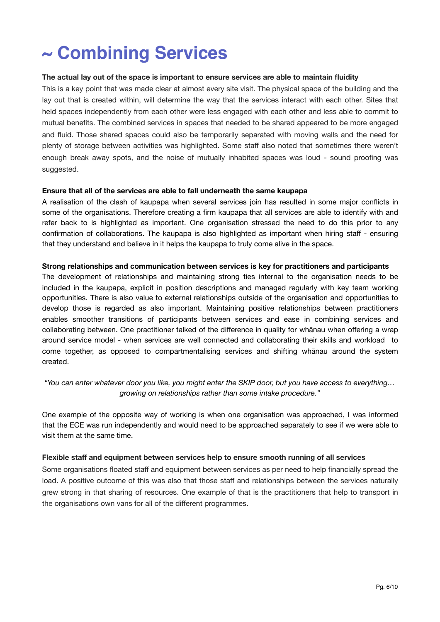# **~ Combining Services**

### **The actual lay out of the space is important to ensure services are able to maintain fluidity**

This is a key point that was made clear at almost every site visit. The physical space of the building and the lay out that is created within, will determine the way that the services interact with each other. Sites that held spaces independently from each other were less engaged with each other and less able to commit to mutual benefits. The combined services in spaces that needed to be shared appeared to be more engaged and fluid. Those shared spaces could also be temporarily separated with moving walls and the need for plenty of storage between activities was highlighted. Some staff also noted that sometimes there weren't enough break away spots, and the noise of mutually inhabited spaces was loud - sound proofing was suggested.

#### **Ensure that all of the services are able to fall underneath the same kaupapa**

A realisation of the clash of kaupapa when several services join has resulted in some major conflicts in some of the organisations. Therefore creating a firm kaupapa that all services are able to identify with and refer back to is highlighted as important. One organisation stressed the need to do this prior to any confirmation of collaborations. The kaupapa is also highlighted as important when hiring staff - ensuring that they understand and believe in it helps the kaupapa to truly come alive in the space.

#### **Strong relationships and communication between services is key for practitioners and participants**

The development of relationships and maintaining strong ties internal to the organisation needs to be included in the kaupapa, explicit in position descriptions and managed regularly with key team working opportunities. There is also value to external relationships outside of the organisation and opportunities to develop those is regarded as also important. Maintaining positive relationships between practitioners enables smoother transitions of participants between services and ease in combining services and collaborating between. One practitioner talked of the difference in quality for whānau when offering a wrap around service model - when services are well connected and collaborating their skills and workload to come together, as opposed to compartmentalising services and shifting whānau around the system created.

# *"You can enter whatever door you like, you might enter the SKIP door, but you have access to everything… growing on relationships rather than some intake procedure."*

One example of the opposite way of working is when one organisation was approached, I was informed that the ECE was run independently and would need to be approached separately to see if we were able to visit them at the same time.

### **Flexible staff and equipment between services help to ensure smooth running of all services**

Some organisations floated staff and equipment between services as per need to help financially spread the load. A positive outcome of this was also that those staff and relationships between the services naturally grew strong in that sharing of resources. One example of that is the practitioners that help to transport in the organisations own vans for all of the different programmes.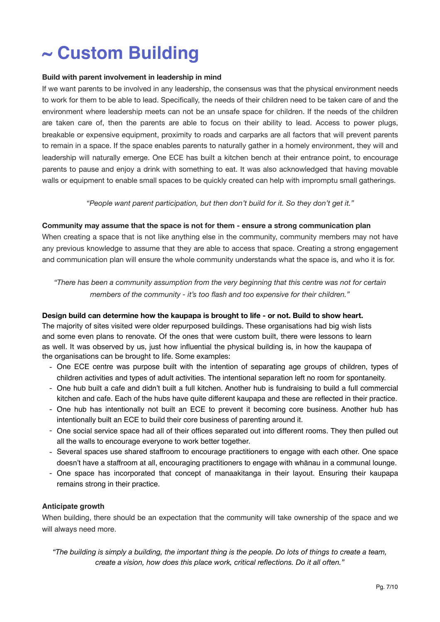# **~ Custom Building**

### **Build with parent involvement in leadership in mind**

If we want parents to be involved in any leadership, the consensus was that the physical environment needs to work for them to be able to lead. Specifically, the needs of their children need to be taken care of and the environment where leadership meets can not be an unsafe space for children. If the needs of the children are taken care of, then the parents are able to focus on their ability to lead. Access to power plugs, breakable or expensive equipment, proximity to roads and carparks are all factors that will prevent parents to remain in a space. If the space enables parents to naturally gather in a homely environment, they will and leadership will naturally emerge. One ECE has built a kitchen bench at their entrance point, to encourage parents to pause and enjoy a drink with something to eat. It was also acknowledged that having movable walls or equipment to enable small spaces to be quickly created can help with impromptu small gatherings.

*"People want parent participation, but then don't build for it. So they don't get it."* 

# **Community may assume that the space is not for them - ensure a strong communication plan**

When creating a space that is not like anything else in the community, community members may not have any previous knowledge to assume that they are able to access that space. Creating a strong engagement and communication plan will ensure the whole community understands what the space is, and who it is for.

*"There has been a community assumption from the very beginning that this centre was not for certain members of the community - it's too flash and too expensive for their children."* 

# **Design build can determine how the kaupapa is brought to life - or not. Build to show heart.**

The majority of sites visited were older repurposed buildings. These organisations had big wish lists and some even plans to renovate. Of the ones that were custom built, there were lessons to learn as well. It was observed by us, just how influential the physical building is, in how the kaupapa of the organisations can be brought to life. Some examples:

- One ECE centre was purpose built with the intention of separating age groups of children, types of children activities and types of adult activities. The intentional separation left no room for spontaneity.
- One hub built a cafe and didn't built a full kitchen. Another hub is fundraising to build a full commercial kitchen and cafe. Each of the hubs have quite different kaupapa and these are reflected in their practice.
- One hub has intentionally not built an ECE to prevent it becoming core business. Another hub has intentionally built an ECE to build their core business of parenting around it.
- One social service space had all of their offices separated out into different rooms. They then pulled out all the walls to encourage everyone to work better together.
- Several spaces use shared staffroom to encourage practitioners to engage with each other. One space doesn't have a staffroom at all, encouraging practitioners to engage with whānau in a communal lounge.
- One space has incorporated that concept of manaakitanga in their layout. Ensuring their kaupapa remains strong in their practice.

# **Anticipate growth**

When building, there should be an expectation that the community will take ownership of the space and we will always need more.

*"The building is simply a building, the important thing is the people. Do lots of things to create a team, create a vision, how does this place work, critical reflections. Do it all often."*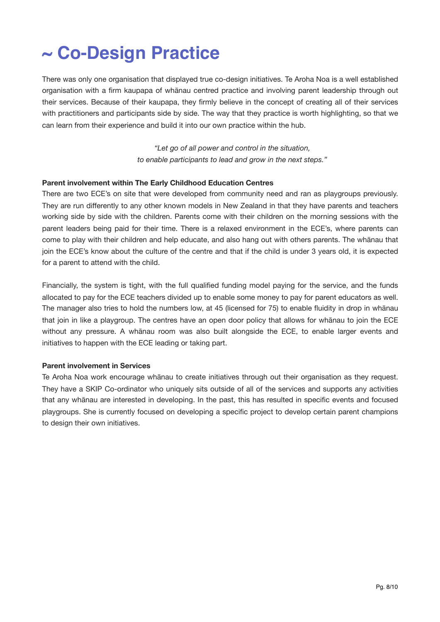# **~ Co-Design Practice**

There was only one organisation that displayed true co-design initiatives. Te Aroha Noa is a well established organisation with a firm kaupapa of whānau centred practice and involving parent leadership through out their services. Because of their kaupapa, they firmly believe in the concept of creating all of their services with practitioners and participants side by side. The way that they practice is worth highlighting, so that we can learn from their experience and build it into our own practice within the hub.

> *"Let go of all power and control in the situation, to enable participants to lead and grow in the next steps."*

### **Parent involvement within The Early Childhood Education Centres**

There are two ECE's on site that were developed from community need and ran as playgroups previously. They are run differently to any other known models in New Zealand in that they have parents and teachers working side by side with the children. Parents come with their children on the morning sessions with the parent leaders being paid for their time. There is a relaxed environment in the ECE's, where parents can come to play with their children and help educate, and also hang out with others parents. The whānau that join the ECE's know about the culture of the centre and that if the child is under 3 years old, it is expected for a parent to attend with the child.

Financially, the system is tight, with the full qualified funding model paying for the service, and the funds allocated to pay for the ECE teachers divided up to enable some money to pay for parent educators as well. The manager also tries to hold the numbers low, at 45 (licensed for 75) to enable fluidity in drop in whānau that join in like a playgroup. The centres have an open door policy that allows for whānau to join the ECE without any pressure. A whānau room was also built alongside the ECE, to enable larger events and initiatives to happen with the ECE leading or taking part.

### **Parent involvement in Services**

Te Aroha Noa work encourage whānau to create initiatives through out their organisation as they request. They have a SKIP Co-ordinator who uniquely sits outside of all of the services and supports any activities that any whānau are interested in developing. In the past, this has resulted in specific events and focused playgroups. She is currently focused on developing a specific project to develop certain parent champions to design their own initiatives.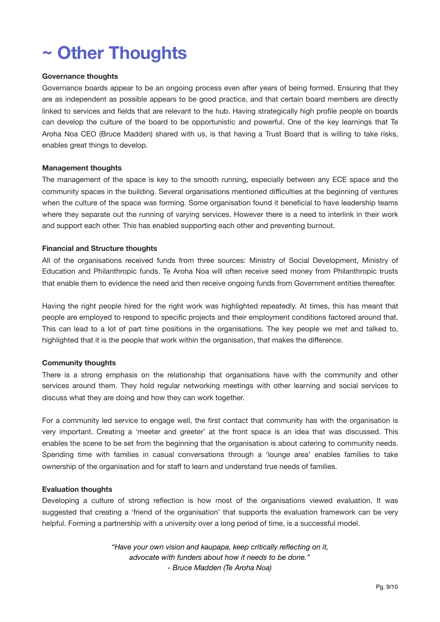# **~ Other Thoughts**

### **Governance thoughts**

Governance boards appear to be an ongoing process even after years of being formed. Ensuring that they are as independent as possible appears to be good practice, and that certain board members are directly linked to services and fields that are relevant to the hub. Having strategically high profile people on boards can develop the culture of the board to be opportunistic and powerful. One of the key learnings that Te Aroha Noa CEO (Bruce Madden) shared with us, is that having a Trust Board that is willing to take risks, enables great things to develop.

#### **Management thoughts**

The management of the space is key to the smooth running, especially between any ECE space and the community spaces in the building. Several organisations mentioned difficulties at the beginning of ventures when the culture of the space was forming. Some organisation found it beneficial to have leadership teams where they separate out the running of varying services. However there is a need to interlink in their work and support each other. This has enabled supporting each other and preventing burnout.

#### **Financial and Structure thoughts**

All of the organisations received funds from three sources: Ministry of Social Development, Ministry of Education and Philanthropic funds. Te Aroha Noa will often receive seed money from Philanthropic trusts that enable them to evidence the need and then receive ongoing funds from Government entities thereafter.

Having the right people hired for the right work was highlighted repeatedly. At times, this has meant that people are employed to respond to specific projects and their employment conditions factored around that. This can lead to a lot of part time positions in the organisations. The key people we met and talked to, highlighted that it is the people that work within the organisation, that makes the difference.

### **Community thoughts**

There is a strong emphasis on the relationship that organisations have with the community and other services around them. They hold regular networking meetings with other learning and social services to discuss what they are doing and how they can work together.

For a community led service to engage well, the first contact that community has with the organisation is very important. Creating a 'meeter and greeter' at the front space is an idea that was discussed. This enables the scene to be set from the beginning that the organisation is about catering to community needs. Spending time with families in casual conversations through a 'lounge area' enables families to take ownership of the organisation and for staff to learn and understand true needs of families.

### **Evaluation thoughts**

Developing a culture of strong reflection is how most of the organisations viewed evaluation. It was suggested that creating a 'friend of the organisation' that supports the evaluation framework can be very helpful. Forming a partnership with a university over a long period of time, is a successful model.

> *"Have your own vision and kaupapa, keep critically reflecting on it, advocate with funders about how it needs to be done." - Bruce Madden (Te Aroha Noa)*